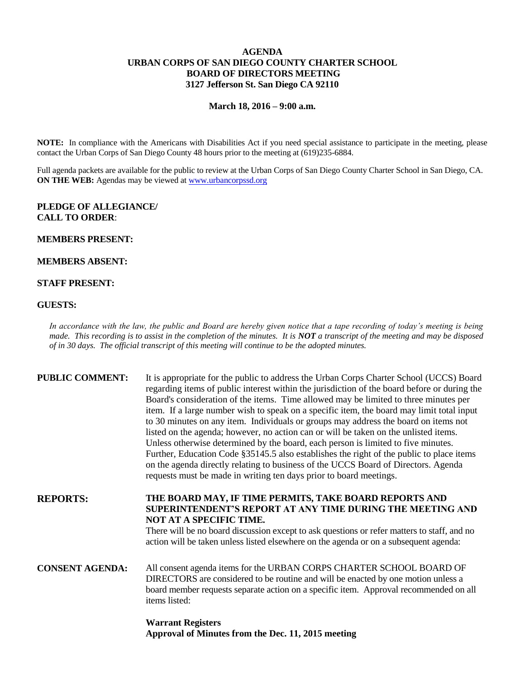# **AGENDA URBAN CORPS OF SAN DIEGO COUNTY CHARTER SCHOOL BOARD OF DIRECTORS MEETING 3127 Jefferson St. San Diego CA 92110**

### **March 18, 2016 – 9:00 a.m.**

**NOTE:** In compliance with the Americans with Disabilities Act if you need special assistance to participate in the meeting, please contact the Urban Corps of San Diego County 48 hours prior to the meeting at (619)235-6884.

Full agenda packets are available for the public to review at the Urban Corps of San Diego County Charter School in San Diego, CA. **ON THE WEB:** Agendas may be viewed at [www.urbancorpssd.org](http://www.urbancorpssd.org/)

### **PLEDGE OF ALLEGIANCE/ CALL TO ORDER**:

#### **MEMBERS PRESENT:**

# **MEMBERS ABSENT:**

## **STAFF PRESENT:**

#### **GUESTS:**

*In accordance with the law, the public and Board are hereby given notice that a tape recording of today's meeting is being made. This recording is to assist in the completion of the minutes. It is NOT a transcript of the meeting and may be disposed of in 30 days. The official transcript of this meeting will continue to be the adopted minutes.*

| <b>PUBLIC COMMENT:</b> | It is appropriate for the public to address the Urban Corps Charter School (UCCS) Board<br>regarding items of public interest within the jurisdiction of the board before or during the<br>Board's consideration of the items. Time allowed may be limited to three minutes per<br>item. If a large number wish to speak on a specific item, the board may limit total input<br>to 30 minutes on any item. Individuals or groups may address the board on items not<br>listed on the agenda; however, no action can or will be taken on the unlisted items.<br>Unless otherwise determined by the board, each person is limited to five minutes.<br>Further, Education Code §35145.5 also establishes the right of the public to place items<br>on the agenda directly relating to business of the UCCS Board of Directors. Agenda<br>requests must be made in writing ten days prior to board meetings. |
|------------------------|----------------------------------------------------------------------------------------------------------------------------------------------------------------------------------------------------------------------------------------------------------------------------------------------------------------------------------------------------------------------------------------------------------------------------------------------------------------------------------------------------------------------------------------------------------------------------------------------------------------------------------------------------------------------------------------------------------------------------------------------------------------------------------------------------------------------------------------------------------------------------------------------------------|
| <b>REPORTS:</b>        | THE BOARD MAY, IF TIME PERMITS, TAKE BOARD REPORTS AND<br>SUPERINTENDENT'S REPORT AT ANY TIME DURING THE MEETING AND<br>NOT AT A SPECIFIC TIME.<br>There will be no board discussion except to ask questions or refer matters to staff, and no<br>action will be taken unless listed elsewhere on the agenda or on a subsequent agenda:                                                                                                                                                                                                                                                                                                                                                                                                                                                                                                                                                                  |
| <b>CONSENT AGENDA:</b> | All consent agenda items for the URBAN CORPS CHARTER SCHOOL BOARD OF<br>DIRECTORS are considered to be routine and will be enacted by one motion unless a<br>board member requests separate action on a specific item. Approval recommended on all<br>items listed:                                                                                                                                                                                                                                                                                                                                                                                                                                                                                                                                                                                                                                      |
|                        |                                                                                                                                                                                                                                                                                                                                                                                                                                                                                                                                                                                                                                                                                                                                                                                                                                                                                                          |

**Warrant Registers Approval of Minutes from the Dec. 11, 2015 meeting**